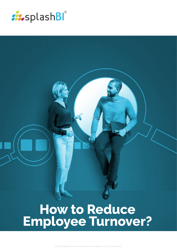

# **How to Reduce Employee Turnover?**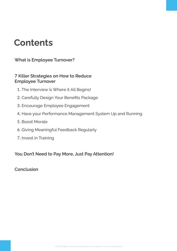## **Contents**

**[What is Employee Turnover?](#page-2-0)**

#### **7 [Killer Strategies on How to Reduce](#page-3-0)  Employee Turnover**

- 1. [The Interview is Where it All Begins!](#page-3-0)
- 2. [Carefully Design Your Benefits Package](#page-3-0)
- 3. [Encourage Employee Engagement](#page-3-0)
- 4. [Have your Performance Management System Up and Running](#page-3-0)
- 5. [Boost Morale](#page-4-0)
- 6. [Giving Meaningful Feedback Regularly](#page-4-0)
- 7. [Invest in Training](#page-4-0)

#### **[You Don't Need to Pay More, Just Pay Attention!](#page-4-0)**

**[Conclusion](#page-5-0)**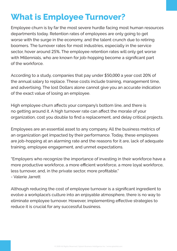# <span id="page-2-0"></span>**What is Employee Turnover?**

Employee churn is by far the most severe hurdle facing most human resources departments today. Retention rates of employees are only going to get worse with the surge in the economy, and the talent crunch due to retiring boomers. The turnover rates for most industries, especially in the service sector, hover around 25%. The employee retention rates will only get worse with Millennials, who are known for job-hopping become a significant part of the workforce.

According to a study, companies that pay under \$50,000 a year cost 20% of the annual salary to replace. These costs include training, management time, and advertising. The lost Dollars alone cannot give you an accurate indication of the exact value of losing an employee.

High employee churn affects your company's bottom line, and there is no getting around it. A high turnover rate can affect the morale of your organization, cost you double to find a replacement, and delay critical projects.

Employees are an essential asset to any company. All the business metrics of an organization get impacted by their performance. Today, these employees are job-hopping at an alarming rate and the reasons for it are, lack of adequate training, employee engagement, and unmet expectations.

"Employers who recognize the importance of investing in their workforce have a more productive workforce, a more efficient workforce, a more loyal workforce, less turnover, and, in the private sector, more profitable."

- Valerie Jarrett

Although reducing the cost of employee turnover is a significant ingredient to evolve a workplace's culture into an enjoyable atmosphere, there is no way to eliminate employee turnover. However, implementing effective strategies to reduce it is crucial for any successful business.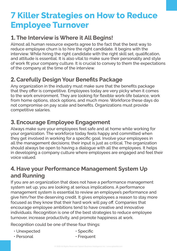### <span id="page-3-0"></span>7 **Killer Strategies on How to Reduce Employee Turnover**

#### 1. **The Interview is Where it All Begins!**

Almost all human resource experts agree to the fact that the best way to reduce employee churn is to hire the right candidate. It begins with the interview. While hiring the right candidate with the right skill set, qualification, and attitude is essential. It is also vital to make sure their personality and style of work fit your company culture. It is crucial to convey to them the expectations of the company at the time of the interview.

### 2. **Carefully Design Your Benefits Package**

Any organization in the industry must make sure that the benefits package that they offer is competitive. Employees today are very picky when it comes to the work environment. They are looking for flexible work-life balance, work from home options, stock options, and much more. Workforce these days do not compromise on pay scale and benefits. Organizations must provide competitive salaries.

#### 3. **Encourage Employee Engagement**

Always make sure your employees feel safe and at home while working for your organization. The workforce today feels happy and committed when they get involved in working for a specific goal. Involve your employees in all the management decisions; their input is just as critical. The organization should always be open to having a dialogue with all the employees. It helps in developing a company culture where employees are engaged and feel their voice valued.

#### 4. **Have your Performance Management System Up and Running**

If you are an organization that does not have a performance management system set up, you are looking at serious implications. A performance management system is essential to review an employee's performance and give him/her the deserving credit. It gives employees a reason to stay more focused as they know that their hard work will pay off. Companies that encourage employee ambitions tend to have creative and innovative individuals. Recognition is one of the best strategies to reduce employee turnover, increase productivity, and promote happiness at work.

Recognition could be one of these four things:

- Unexpected
- Personal
- Specific
- Frequent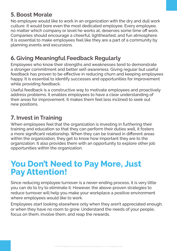### <span id="page-4-0"></span>5. **Boost Morale**

No employee would like to work in an organization with the dry and dull work culture. It would bore even the most dedicated employee. Every employee, no matter which company or level he works at, deserves some time off work. Companies should encourage a cheerful, lighthearted, and fun atmosphere. It is essential to make employees feel like they are a part of a community by planning events and excursions.

#### 6. **Giving Meaningful Feedback Regularly**

Employees who know their strengths and weaknesses tend to demonstrate a stronger commitment and better self-awareness. Giving regular but useful feedback has proven to be effective in reducing churn and keeping employees happy. It is essential to identify successes and opportunities for improvement while providing feedback.

Useful feedback is a constructive way to motivate employees and proactively address problems. It enables employees to have a clear understanding of their areas for improvement. It makes them feel less inclined to seek out new positions.

#### 7. **Invest in Training**

When employees feel that the organization is investing in furthering their training and education so that they can perform their duties well, it fosters a more significant relationship. When they can be trained in different areas within the organization, they get to know how important they are to the organization. It also provides them with an opportunity to explore other job opportunities within the organization.

### **You Don't Need to Pay More, Just Pay Attention!**

Since reducing employee turnover is a never-ending process, it is very little you can do to try to eliminate it. However, the above-proven strategies to reduce turnover will help you make your workplace a positive environment where employees would like to work.

Employees start looking elsewhere only when they aren't appreciated enough, or when they have no room to grow. Understand the needs of your people, focus on them, involve them, and reap the rewards.